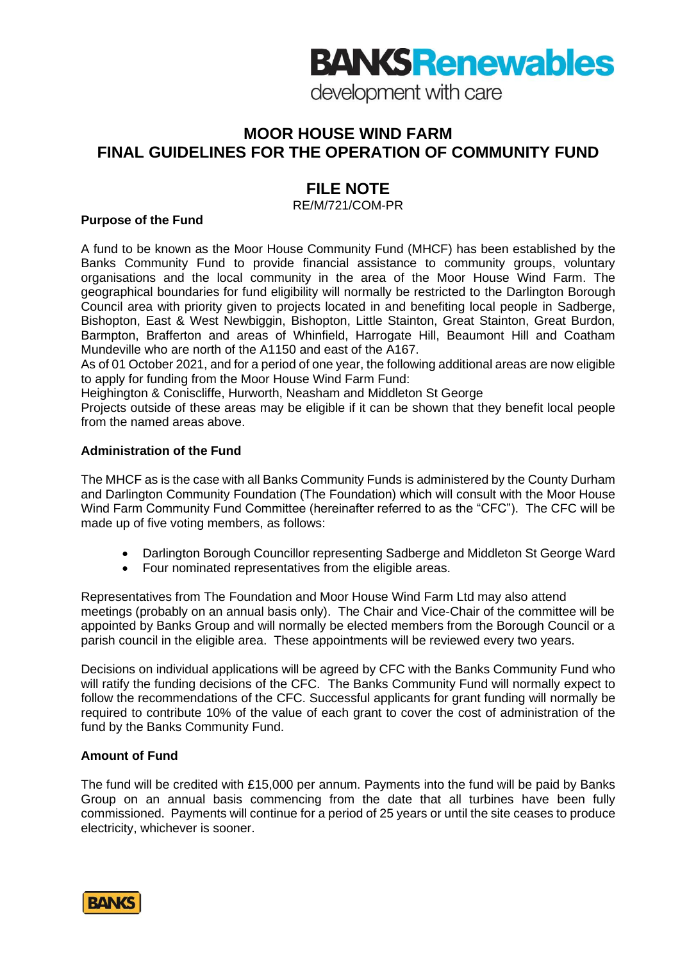# **BANKS Renewables**

development with care

# **MOOR HOUSE WIND FARM FINAL GUIDELINES FOR THE OPERATION OF COMMUNITY FUND**

# **FILE NOTE**

RE/M/721/COM-PR

### **Purpose of the Fund**

A fund to be known as the Moor House Community Fund (MHCF) has been established by the Banks Community Fund to provide financial assistance to community groups, voluntary organisations and the local community in the area of the Moor House Wind Farm. The geographical boundaries for fund eligibility will normally be restricted to the Darlington Borough Council area with priority given to projects located in and benefiting local people in Sadberge, Bishopton, East & West Newbiggin, Bishopton, Little Stainton, Great Stainton, Great Burdon, Barmpton, Brafferton and areas of Whinfield, Harrogate Hill, Beaumont Hill and Coatham Mundeville who are north of the A1150 and east of the A167.

As of 01 October 2021, and for a period of one year, the following additional areas are now eligible to apply for funding from the Moor House Wind Farm Fund:

Heighington & Coniscliffe, Hurworth, Neasham and Middleton St George

Projects outside of these areas may be eligible if it can be shown that they benefit local people from the named areas above.

# **Administration of the Fund**

The MHCF as is the case with all Banks Community Funds is administered by the County Durham and Darlington Community Foundation (The Foundation) which will consult with the Moor House Wind Farm Community Fund Committee (hereinafter referred to as the "CFC"). The CFC will be made up of five voting members, as follows:

- Darlington Borough Councillor representing Sadberge and Middleton St George Ward
- Four nominated representatives from the eligible areas.

Representatives from The Foundation and Moor House Wind Farm Ltd may also attend meetings (probably on an annual basis only). The Chair and Vice-Chair of the committee will be appointed by Banks Group and will normally be elected members from the Borough Council or a parish council in the eligible area. These appointments will be reviewed every two years.

Decisions on individual applications will be agreed by CFC with the Banks Community Fund who will ratify the funding decisions of the CFC. The Banks Community Fund will normally expect to follow the recommendations of the CFC. Successful applicants for grant funding will normally be required to contribute 10% of the value of each grant to cover the cost of administration of the fund by the Banks Community Fund.

# **Amount of Fund**

The fund will be credited with £15,000 per annum. Payments into the fund will be paid by Banks Group on an annual basis commencing from the date that all turbines have been fully commissioned. Payments will continue for a period of 25 years or until the site ceases to produce electricity, whichever is sooner.

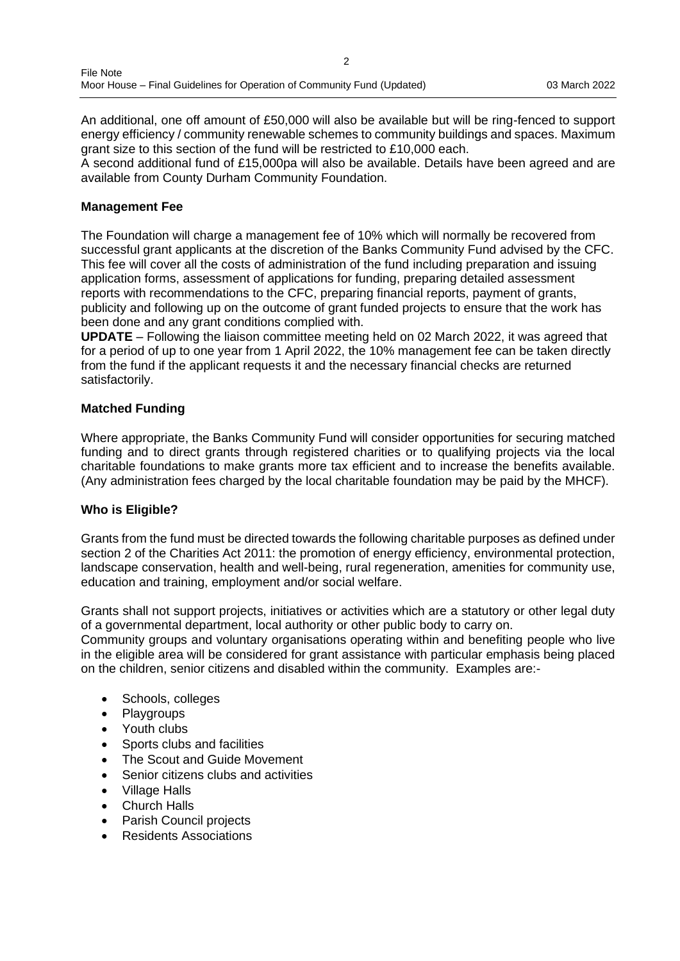An additional, one off amount of £50,000 will also be available but will be ring-fenced to support energy efficiency / community renewable schemes to community buildings and spaces. Maximum grant size to this section of the fund will be restricted to £10,000 each.

 $\overline{2}$ 

A second additional fund of £15,000pa will also be available. Details have been agreed and are available from County Durham Community Foundation.

#### **Management Fee**

The Foundation will charge a management fee of 10% which will normally be recovered from successful grant applicants at the discretion of the Banks Community Fund advised by the CFC. This fee will cover all the costs of administration of the fund including preparation and issuing application forms, assessment of applications for funding, preparing detailed assessment reports with recommendations to the CFC, preparing financial reports, payment of grants, publicity and following up on the outcome of grant funded projects to ensure that the work has been done and any grant conditions complied with.

**UPDATE** – Following the liaison committee meeting held on 02 March 2022, it was agreed that for a period of up to one year from 1 April 2022, the 10% management fee can be taken directly from the fund if the applicant requests it and the necessary financial checks are returned satisfactorily.

#### **Matched Funding**

Where appropriate, the Banks Community Fund will consider opportunities for securing matched funding and to direct grants through registered charities or to qualifying projects via the local charitable foundations to make grants more tax efficient and to increase the benefits available. (Any administration fees charged by the local charitable foundation may be paid by the MHCF).

# **Who is Eligible?**

Grants from the fund must be directed towards the following charitable purposes as defined under section 2 of the Charities Act 2011: the promotion of energy efficiency, environmental protection, landscape conservation, health and well-being, rural regeneration, amenities for community use, education and training, employment and/or social welfare.

Grants shall not support projects, initiatives or activities which are a statutory or other legal duty of a governmental department, local authority or other public body to carry on.

Community groups and voluntary organisations operating within and benefiting people who live in the eligible area will be considered for grant assistance with particular emphasis being placed on the children, senior citizens and disabled within the community. Examples are:-

- Schools, colleges
- Playgroups
- Youth clubs
- Sports clubs and facilities
- The Scout and Guide Movement
- Senior citizens clubs and activities
- Village Halls
- Church Halls
- Parish Council projects
- Residents Associations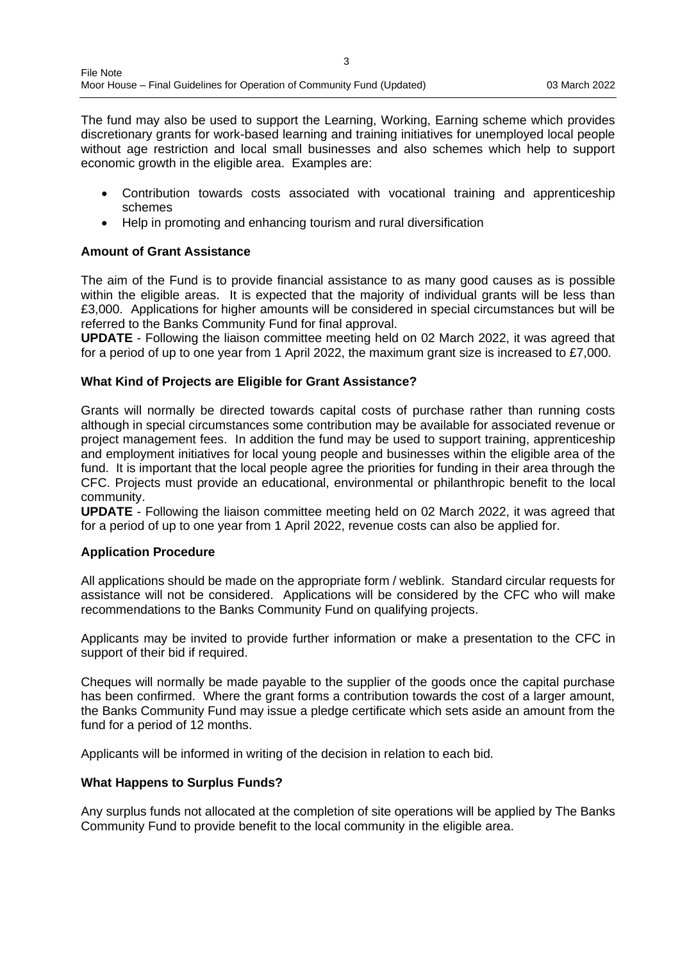The fund may also be used to support the Learning, Working, Earning scheme which provides discretionary grants for work-based learning and training initiatives for unemployed local people without age restriction and local small businesses and also schemes which help to support economic growth in the eligible area. Examples are:

3

- Contribution towards costs associated with vocational training and apprenticeship schemes
- Help in promoting and enhancing tourism and rural diversification

# **Amount of Grant Assistance**

The aim of the Fund is to provide financial assistance to as many good causes as is possible within the eligible areas. It is expected that the majority of individual grants will be less than £3,000. Applications for higher amounts will be considered in special circumstances but will be referred to the Banks Community Fund for final approval.

**UPDATE** - Following the liaison committee meeting held on 02 March 2022, it was agreed that for a period of up to one year from 1 April 2022, the maximum grant size is increased to £7,000.

#### **What Kind of Projects are Eligible for Grant Assistance?**

Grants will normally be directed towards capital costs of purchase rather than running costs although in special circumstances some contribution may be available for associated revenue or project management fees. In addition the fund may be used to support training, apprenticeship and employment initiatives for local young people and businesses within the eligible area of the fund. It is important that the local people agree the priorities for funding in their area through the CFC. Projects must provide an educational, environmental or philanthropic benefit to the local community.

**UPDATE** - Following the liaison committee meeting held on 02 March 2022, it was agreed that for a period of up to one year from 1 April 2022, revenue costs can also be applied for.

#### **Application Procedure**

All applications should be made on the appropriate form / weblink. Standard circular requests for assistance will not be considered. Applications will be considered by the CFC who will make recommendations to the Banks Community Fund on qualifying projects.

Applicants may be invited to provide further information or make a presentation to the CFC in support of their bid if required.

Cheques will normally be made payable to the supplier of the goods once the capital purchase has been confirmed. Where the grant forms a contribution towards the cost of a larger amount, the Banks Community Fund may issue a pledge certificate which sets aside an amount from the fund for a period of 12 months.

Applicants will be informed in writing of the decision in relation to each bid.

#### **What Happens to Surplus Funds?**

Any surplus funds not allocated at the completion of site operations will be applied by The Banks Community Fund to provide benefit to the local community in the eligible area.